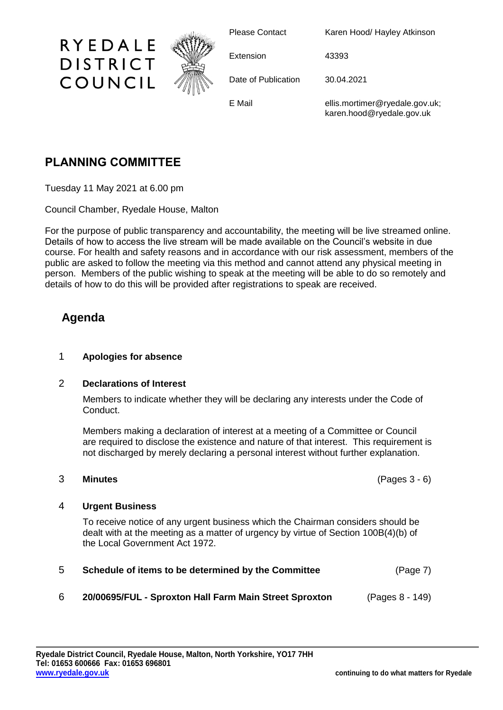

Please Contact Karen Hood/ Hayley Atkinson

Extension 43393

Date of Publication 30.04.2021

E Mail ellis.mortimer@ryedale.gov.uk; karen.hood@ryedale.gov.uk

# **PLANNING COMMITTEE**

Tuesday 11 May 2021 at 6.00 pm

Council Chamber, Ryedale House, Malton

For the purpose of public transparency and accountability, the meeting will be live streamed online. Details of how to access the live stream will be made available on the Council's website in due course. For health and safety reasons and in accordance with our risk assessment, members of the public are asked to follow the meeting via this method and cannot attend any physical meeting in person. Members of the public wishing to speak at the meeting will be able to do so remotely and details of how to do this will be provided after registrations to speak are received.

## **Agenda**

### 1 **Apologies for absence**

#### 2 **Declarations of Interest**

Members to indicate whether they will be declaring any interests under the Code of Conduct.

Members making a declaration of interest at a meeting of a Committee or Council are required to disclose the existence and nature of that interest. This requirement is not discharged by merely declaring a personal interest without further explanation.

3 **Minutes** (Pages 3 - 6)

### 4 **Urgent Business**

To receive notice of any urgent business which the Chairman considers should be dealt with at the meeting as a matter of urgency by virtue of Section 100B(4)(b) of the Local Government Act 1972.

| 5 | Schedule of items to be determined by the Committee    | (Page 7)        |
|---|--------------------------------------------------------|-----------------|
| 6 | 20/00695/FUL - Sproxton Hall Farm Main Street Sproxton | (Pages 8 - 149) |